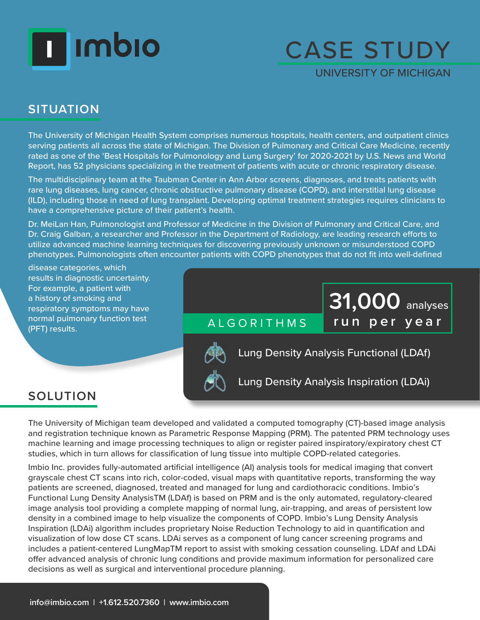# **Timbio**

### CASE STUDY

UNIVERSITY OF MICHIGAN

**31,000** analyses

### **SITUATION**

The University of Michigan Health System comprises numerous hospitals, health centers, and outpatient clinics serving patients all across the state of Michigan. The Division of Pulmonary and Critical Care Medicine, recently rated as one of the 'Best Hospitals for Pulmonology and Lung Surgery' for 2020-2021 by U.S. News and World Report, has 52 physicians specializing in the treatment of patients with acute or chronic respiratory disease.

The multidisciplinary team at the Taubman Center in Ann Arbor screens, diagnoses, and treats patients with rare lung diseases, lung cancer, chronic obstructive pulmonary disease (COPD), and interstitial lung disease (ILD), including those in need of lung transplant. Developing optimal treatment strategies requires clinicians to have a comprehensive picture of their patient's health.

Dr. MeiLan Han, Pulmonologist and Professor of Medicine in the Division of Pulmonary and Critical Care, and Dr. Craig Galban, a researcher and Professor in the Department of Radiology, are leading research efforts to utilize advanced machine learning techniques for discovering previously unknown or misunderstood COPD phenotypes. Pulmonologists often encounter patients with COPD phenotypes that do not fit into well-defined

disease categories, which results in diagnostic uncertainty. For example, a patient with a history of smoking and respiratory symptoms may have normal pulmonary function test (PFT) results.

ALGORITHMS **run per year**



Lung Density Analysis Functional (LDAf)

Lung Density Analysis Inspiration (LDAi)

### **SOLUTION**

The University of Michigan team developed and validated a computed tomography (CT)-based image analysis and registration technique known as Parametric Response Mapping (PRM). The patented PRM technology uses machine learning and image processing techniques to align or register paired inspiratory/expiratory chest CT studies, which in turn allows for classification of lung tissue into multiple COPD-related categories.

Imbio Inc. provides fully-automated artificial intelligence (AI) analysis tools for medical imaging that convert grayscale chest CT scans into rich, color-coded, visual maps with quantitative reports, transforming the way patients are screened, diagnosed, treated and managed for lung and cardiothoracic conditions. Imbio's Functional Lung Density AnalysisTM (LDAf) is based on PRM and is the only automated, regulatory-cleared image analysis tool providing a complete mapping of normal lung, air-trapping, and areas of persistent low density in a combined image to help visualize the components of COPD. Imbio's Lung Density Analysis Inspiration (LDAi) algorithm includes proprietary Noise Reduction Technology to aid in quantification and visualization of low dose CT scans. LDAi serves as a component of lung cancer screening programs and includes a patient-centered LungMapTM report to assist with smoking cessation counseling. LDAf and LDAi offer advanced analysis of chronic lung conditions and provide maximum information for personalized care decisions as well as surgical and interventional procedure planning.